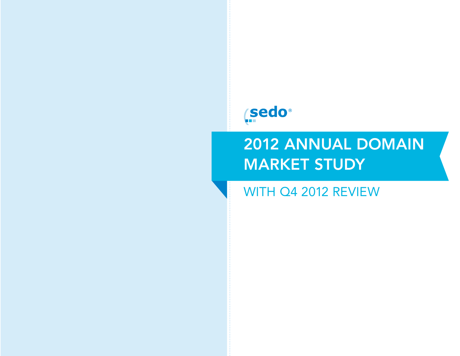# *Sedo®*

# 2012 ANNUAL DOMAIN MARKET STUDY

WITH Q4 2012 REVIEW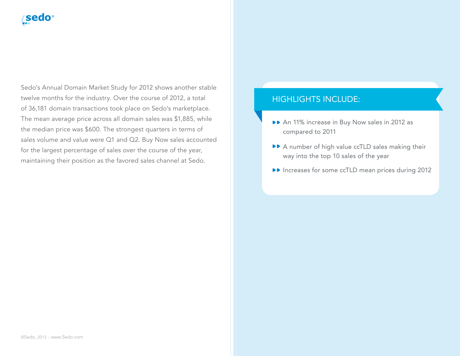# **sedo**

Sedo's Annual Domain Market Study for 2012 shows another stable twelve months for the industry. Over the course of 2012, a total of 36,181 domain transactions took place on Sedo's marketplace. The mean average price across all domain sales was \$1,885, while the median price was \$600. The strongest quarters in terms of sales volume and value were Q1 and Q2. Buy Now sales accounted for the largest percentage of sales over the course of the year, maintaining their position as the favored sales channel at Sedo.

#### HIGHLIGHTS INCLUDE:

- An 11% increase in Buy Now sales in 2012 as compared to 2011
- A number of high value ccTLD sales making their way into the top 10 sales of the year
- ▶▶ Increases for some ccTLD mean prices during 2012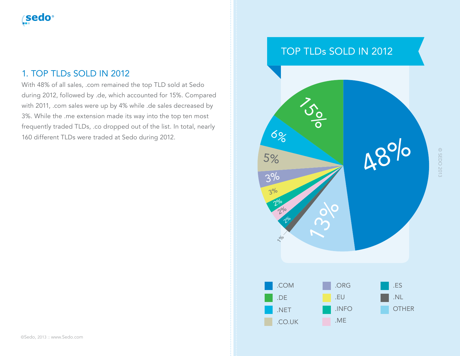# 1. TOP TLDs SOLD IN 2012

With 48% of all sales, .com remained the top TLD sold at Sedo during 2012, followed by .de, which accounted for 15%. Compared with 2011, .com sales were up by 4% while .de sales decreased by 3%. While the .me extension made its way into the top ten most frequently traded TLDs, .co dropped out of the list. In total, nearly 160 different TLDs were traded at Sedo during 2012.

# TOP TLDs SOLD IN 2012

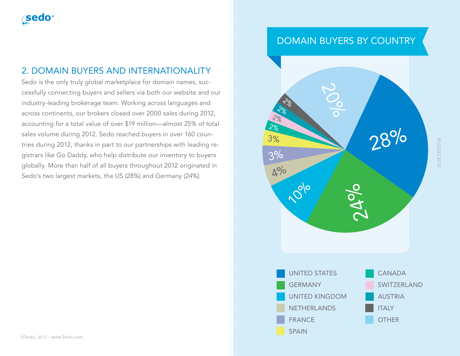# 2. DOMAIN BUYERS AND INTERNATIONALITY

Sedo is the only truly global marketplace for domain names, successfully connecting buyers and sellers via both our website and our industry-leading brokerage team. Working across languages and across continents, our brokers closed over 2000 sales during 2012, accounting for a total value of over \$19 million—almost 25% of total sales volume during 2012. Sedo reached buyers in over 160 countries during 2012, thanks in part to our partnerships with leading registrars like Go Daddy, who help distribute our inventory to buyers globally. More than half of all buyers throughout 2012 originated in Sedo's two largest markets, the US (28%) and Germany (24%).

# DOMAIN BUYERS BY COUNTRY

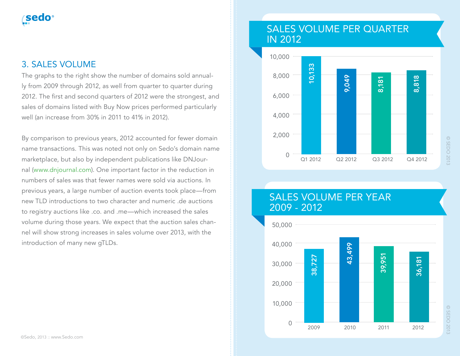# 3. SALES VOLUME

The graphs to the right show the number of domains sold annually from 2009 through 2012, as well from quarter to quarter during 2012. The first and second quarters of 2012 were the strongest, and sales of domains listed with Buy Now prices performed particularly well (an increase from 30% in 2011 to 41% in 2012).

By comparison to previous years, 2012 accounted for fewer domain name transactions. This was noted not only on Sedo's domain name marketplace, but also by independent publications like DNJournal (www.dnjournal.com). One important factor in the reduction in numbers of sales was that fewer names were sold via auctions. In previous years, a large number of auction events took place—from new TLD introductions to two character and numeric .de auctions to registry auctions like .co. and .me—which increased the sales volume during those years. We expect that the auction sales channel will show strong increases in sales volume over 2013, with the introduction of many new gTLDs.

# SALES VOLUME PER QUARTER IN 2012



# SALES VOLUME PER YEAR 2009 - 2012

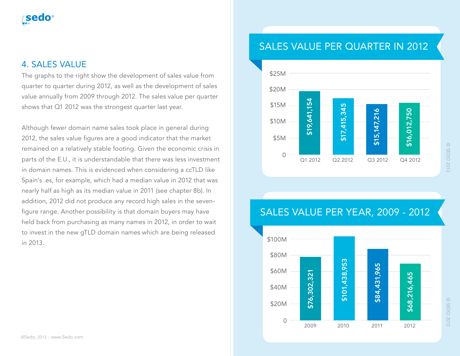# 4. SALES VALUE

The graphs to the right show the development of sales value from quarter to quarter during 2012, as well as the development of sales value annually from 2009 through 2012. The sales value per quarter shows that Q1 2012 was the strongest quarter last year.

Although fewer domain name sales took place in general during 2012, the sales value figures are a good indicator that the market remained on a relatively stable footing. Given the economic crisis in parts of the E.U., it is understandable that there was less investment in domain names. This is evidenced when considering a ccTLD like Spain's .es, for example, which had a median value in 2012 that was nearly half as high as its median value in 2011 (see chapter 8b). In addition, 2012 did not produce any record high sales in the sevenfigure range. Another possibility is that domain buyers may have held back from purchasing as many names in 2012, in order to wait to invest in the new gTLD domain names which are being released in 2013.

# SALES VALUE PER QUARTER IN 2012



© SEDO 2013

© SEDO 2013

# 2009 2010 2011 2012 \$100M \$80M \$60M \$40M \$20M 0 \$76,302,321<br>\$101,438,953<br>\$84,431,965<br>\$68,216,465

# SALES VALUE PER YEAR, 2009 - 2012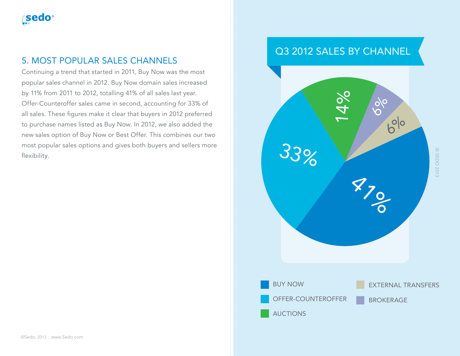

### 5. MOST POPULAR SALES CHANNELS

Continuing a trend that started in 2011, Buy Now was the most popular sales channel in 2012. Buy Now domain sales increased by 11% from 2011 to 2012, totalling 41% of all sales last year. Offer-Counteroffer sales came in second, accounting for 33% of all sales. These figures make it clear that buyers in 2012 preferred to purchase names listed as Buy Now. In 2012, we also added the new sales option of Buy Now or Best Offer. This combines our two most popular sales options and gives both buyers and sellers more flexibility.

# Q3 2012 SALES BY CHANNEL

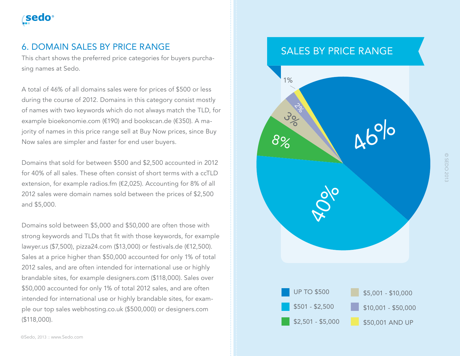# **sedo**

## 6. DOMAIN SALES BY PRICE RANGE

This chart shows the preferred price categories for buyers purchasing names at Sedo.

A total of 46% of all domains sales were for prices of \$500 or less during the course of 2012. Domains in this category consist mostly of names with two keywords which do not always match the TLD, for example bioekonomie.com (€190) and bookscan.de (€350). A majority of names in this price range sell at Buy Now prices, since Buy Now sales are simpler and faster for end user buyers.

Domains that sold for between \$500 and \$2,500 accounted in 2012 for 40% of all sales. These often consist of short terms with a ccTLD extension, for example radios.fm (€2,025). Accounting for 8% of all 2012 sales were domain names sold between the prices of \$2,500 and \$5,000.

Domains sold between \$5,000 and \$50,000 are often those with strong keywords and TLDs that fit with those keywords, for example lawyer.us (\$7,500), pizza24.com (\$13,000) or festivals.de (€12,500). Sales at a price higher than \$50,000 accounted for only 1% of total 2012 sales, and are often intended for international use or highly brandable sites, for example designers.com (\$118,000). Sales over \$50,000 accounted for only 1% of total 2012 sales, and are often intended for international use or highly brandable sites, for example our top sales webhosting.co.uk (\$500,000) or designers.com (\$118,000).

# SALES BY PRICE RANGE

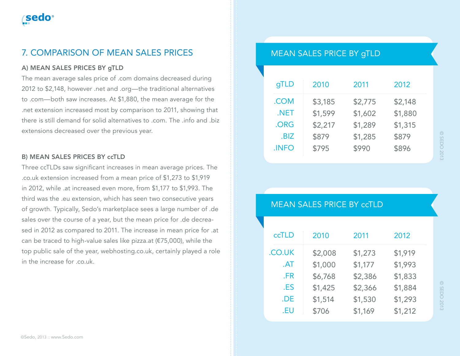# 7. COMPARISON OF MEAN SALES PRICES

#### A) MEAN SALES PRICES BY gTLD

The mean average sales price of .com domains decreased during 2012 to \$2,148, however .net and .org—the traditional alternatives to .com—both saw increases. At \$1,880, the mean average for the .net extension increased most by comparison to 2011, showing that there is still demand for solid alternatives to .com. The .info and .biz extensions decreased over the previous year.

#### B) MEAN SALES PRICES BY ccTLD

Three ccTLDs saw significant increases in mean average prices. The .co.uk extension increased from a mean price of \$1,273 to \$1,919 in 2012, while .at increased even more, from \$1,177 to \$1,993. The third was the .eu extension, which has seen two consecutive years of growth. Typically, Sedo's marketplace sees a large number of .de sales over the course of a year, but the mean price for .de decreased in 2012 as compared to 2011. The increase in mean price for .at can be traced to high-value sales like pizza.at (€75,000), while the top public sale of the year, webhosting.co.uk, certainly played a role in the increase for .co.uk.

## MEAN SALES PRICE BY gTLD

| gTLD        | 2010    | 2011    | 2012    |
|-------------|---------|---------|---------|
| .COM        | \$3,185 | \$2,775 | \$2,148 |
| .NET        | \$1,599 | \$1,602 | \$1,880 |
| .ORG        | \$2,217 | \$1,289 | \$1,315 |
| .BIZ        | \$879   | \$1,285 | \$879   |
| <b>INFO</b> | \$795   | \$990   | \$896   |

## MEAN SALES PRICE BY ccTLD

| ccTLD  | 2010    | 2011    | 2012    |
|--------|---------|---------|---------|
| .CO.UK | \$2,008 | \$1,273 | \$1,919 |
| AT     | \$1,000 | \$1,177 | \$1,993 |
| .FR    | \$6,768 | \$2,386 | \$1,833 |
| .ES    | \$1,425 | \$2,366 | \$1,884 |
| .DE    | \$1,514 | \$1,530 | \$1,293 |
| .EU    | \$706   | \$1,169 | \$1,212 |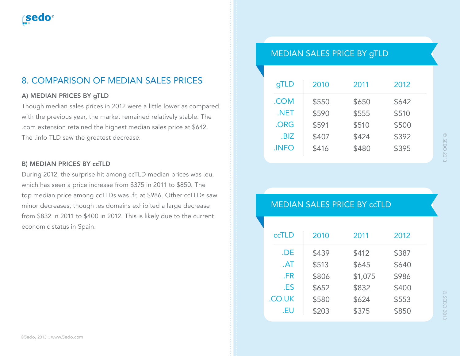# 8. COMPARISON OF MEDIAN SALES PRICES

#### A) MEDIAN PRICES BY gTLD

Though median sales prices in 2012 were a little lower as compared with the previous year, the market remained relatively stable. The .com extension retained the highest median sales price at \$642. The .info TLD saw the greatest decrease.

#### B) MEDIAN PRICES BY ccTLD

During 2012, the surprise hit among ccTLD median prices was .eu, which has seen a price increase from \$375 in 2011 to \$850. The top median price among ccTLDs was .fr, at \$986. Other ccTLDs saw minor decreases, though .es domains exhibited a large decrease from \$832 in 2011 to \$400 in 2012. This is likely due to the current economic status in Spain.

## MEDIAN SALES PRICE BY gTLD

| gTLD  | 2010  | 2011  | 2012  |
|-------|-------|-------|-------|
| .COM  | \$550 | \$650 | \$642 |
| .NET  | \$590 | \$555 | \$510 |
| .ORG  | \$591 | \$510 | \$500 |
| .BIZ  | \$407 | \$424 | \$392 |
| .INFO | \$416 | \$480 | \$395 |

#### MEDIAN SALES PRICE BY ccTLD

| ccTLD  | 2010  | 2011    | 2012  |  |
|--------|-------|---------|-------|--|
| .DE    | \$439 | \$412   | \$387 |  |
| AT     | \$513 | \$645   | \$640 |  |
| .FR    | \$806 | \$1,075 | \$986 |  |
| .ES    | \$652 | \$832   | \$400 |  |
| .CO.UK | \$580 | \$624   | \$553 |  |
| .EU    | \$203 | \$375   | \$850 |  |
|        |       |         |       |  |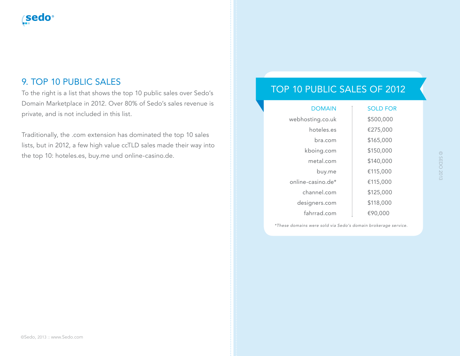# 9. TOP 10 PUBLIC SALES

To the right is a list that shows the top 10 public sales over Sedo's Domain Marketplace in 2012. Over 80% of Sedo's sales revenue is private, and is not included in this list.

Traditionally, the .com extension has dominated the top 10 sales lists, but in 2012, a few high value ccTLD sales made their way into the top 10: hoteles.es, buy.me und online-casino.de.

# TOP 10 PUBLIC SALES OF 2012

| <b>DOMAIN</b>     | <b>SOLD FOR</b> |
|-------------------|-----------------|
| webhosting.co.uk  | \$500,000       |
| hoteles.es        | €275,000        |
| bra.com           | \$165,000       |
| kboing.com        | \$150,000       |
| metal.com         | \$140,000       |
| buy.me            | €115,000        |
| online-casino.de* | €115,000        |
| channel.com       | \$125,000       |
| designers.com     | \$118,000       |
| fahrrad.com       | €90.000         |

*\*These domains were sold via Sedo's domain brokerage service.*